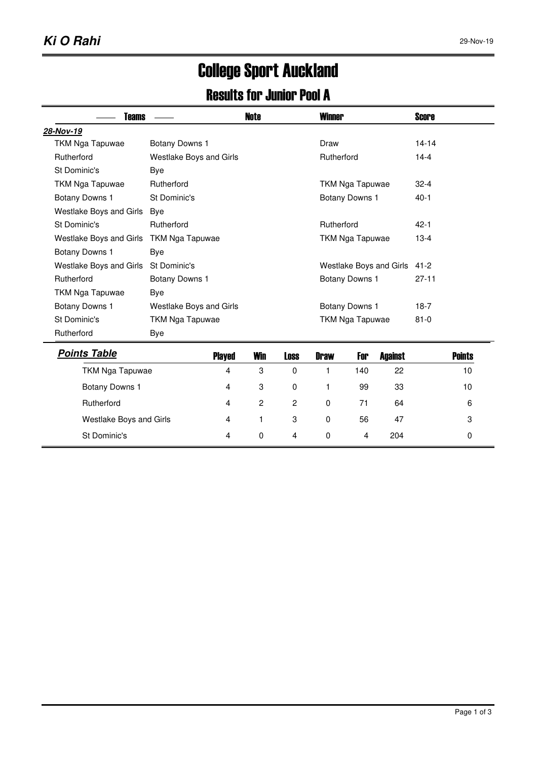## College Sport Auckland

## Results for Junior Pool A

| Teams                   |                         |        | <b>Note</b> |                        | <b>Winner</b>           |                 |                | <b>Score</b> |               |
|-------------------------|-------------------------|--------|-------------|------------------------|-------------------------|-----------------|----------------|--------------|---------------|
| 28-Nov-19               |                         |        |             |                        |                         |                 |                |              |               |
| <b>TKM Nga Tapuwae</b>  | Botany Downs 1          |        |             |                        | Draw                    |                 |                | $14 - 14$    |               |
| Rutherford              | Westlake Boys and Girls |        |             |                        | Rutherford              |                 | $14 - 4$       |              |               |
| St Dominic's            | <b>Bye</b>              |        |             |                        |                         |                 |                |              |               |
| <b>TKM Nga Tapuwae</b>  | Rutherford              |        |             |                        |                         | TKM Nga Tapuwae | $32 - 4$       |              |               |
| Botany Downs 1          | St Dominic's            |        |             |                        | Botany Downs 1          |                 |                | $40-1$       |               |
| Westlake Boys and Girls | Bye                     |        |             |                        |                         |                 |                |              |               |
| St Dominic's            | Rutherford              |        |             |                        | Rutherford              |                 |                | $42 - 1$     |               |
| Westlake Boys and Girls | <b>TKM Nga Tapuwae</b>  |        |             | <b>TKM Nga Tapuwae</b> |                         |                 | $13 - 4$       |              |               |
| Botany Downs 1          |                         |        |             |                        |                         |                 |                |              |               |
| Westlake Boys and Girls | St Dominic's            |        |             |                        | Westlake Boys and Girls |                 |                | $41 - 2$     |               |
| Rutherford              | Botany Downs 1          |        |             | Botany Downs 1         |                         |                 | $27 - 11$      |              |               |
| <b>TKM Nga Tapuwae</b>  | <b>Bye</b>              |        |             |                        |                         |                 |                |              |               |
| Botany Downs 1          | Westlake Boys and Girls |        |             |                        |                         | Botany Downs 1  | $18-7$         |              |               |
| St Dominic's            | TKM Nga Tapuwae         |        |             |                        | TKM Nga Tapuwae         |                 |                | $81 - 0$     |               |
| Rutherford              | Bye                     |        |             |                        |                         |                 |                |              |               |
| <b>Points Table</b>     |                         | Played | <b>Win</b>  | <b>Loss</b>            | <b>Draw</b>             | For             | <b>Against</b> |              | <b>Points</b> |
| TKM Nga Tapuwae         |                         | 4      | 3           | 0                      | 1                       | 140             | 22             |              | 10            |

|                         | ---- | -----    |                |          | --- | --------- | ------- |
|-------------------------|------|----------|----------------|----------|-----|-----------|---------|
| TKM Nga Tapuwae         | 4    | 3        | 0              |          | 140 | 22        | 10      |
| Botany Downs 1          | 4    | 3        | 0              |          | 99  | 33        | 10      |
| Rutherford              | 4    | 2        | $\overline{2}$ | $\Omega$ | 71  | 64        | 6       |
| Westlake Boys and Girls | 4    |          | 3              | 0        | 56  | 47        | 3       |
| St Dominic's            | 4    | $\Omega$ | 4              | 0        | 4   | 204       |         |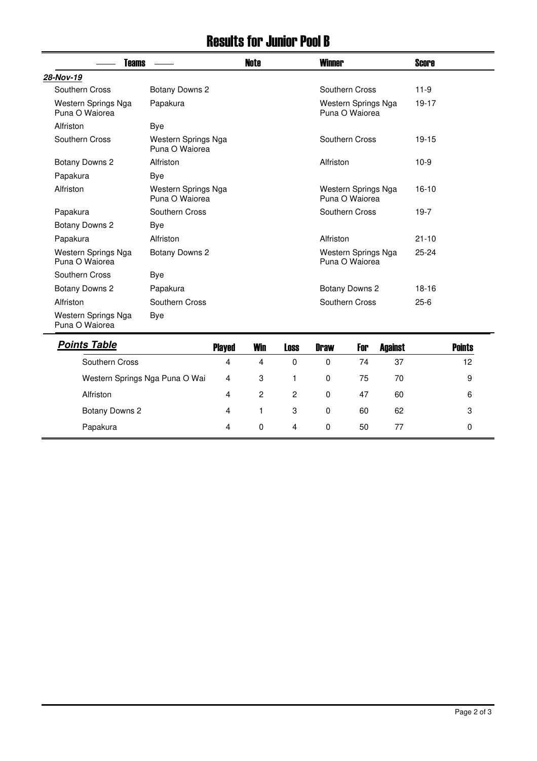## Results for Junior Pool B

| <b>Teams</b>                          |                                       | <b>Note</b> | <b>Winner</b>                                       | <b>Score</b>  |  |
|---------------------------------------|---------------------------------------|-------------|-----------------------------------------------------|---------------|--|
| 28-Nov-19                             |                                       |             |                                                     |               |  |
| Southern Cross                        | Botany Downs 2                        |             | Southern Cross                                      | $11-9$        |  |
| Western Springs Nga<br>Puna O Waiorea | Papakura                              |             | Western Springs Nga<br>Puna O Waiorea               | 19-17         |  |
| Alfriston                             | Bye                                   |             |                                                     |               |  |
| Southern Cross                        | Western Springs Nga<br>Puna O Waiorea |             | Southern Cross                                      | $19 - 15$     |  |
| Botany Downs 2                        | Alfriston                             |             | Alfriston                                           | $10-9$        |  |
| Papakura                              | Bye                                   |             |                                                     |               |  |
| Alfriston                             | Western Springs Nga<br>Puna O Waiorea |             | Western Springs Nga<br>Puna O Waiorea               | $16-10$       |  |
| Papakura                              | Southern Cross                        |             | Southern Cross                                      | $19-7$        |  |
| Botany Downs 2                        | Bye                                   |             |                                                     |               |  |
| Papakura                              | Alfriston                             |             | Alfriston                                           | $21 - 10$     |  |
| Western Springs Nga<br>Puna O Waiorea | Botany Downs 2                        |             | Western Springs Nga<br>Puna O Waiorea               | $25 - 24$     |  |
| Southern Cross                        | Bye                                   |             |                                                     |               |  |
| Botany Downs 2                        | Papakura                              |             | Botany Downs 2                                      | $18-16$       |  |
| Alfriston                             | Southern Cross                        |             | Southern Cross                                      | $25-6$        |  |
| Western Springs Nga<br>Puna O Waiorea | Bye                                   |             |                                                     |               |  |
| <b>Points Table</b>                   | <b>Played</b>                         | <b>Win</b>  | <b>Against</b><br>For<br><b>Loss</b><br><b>Draw</b> | <b>Points</b> |  |

| <b>Points Table</b>            | <b>Played</b> | Win      | <b>Loss</b> | <b>Draw</b> | For | Against | <b>Points</b> |
|--------------------------------|---------------|----------|-------------|-------------|-----|---------|---------------|
| Southern Cross                 | 4             | 4        | $\Omega$    | $\Omega$    | 74  | 37      | 12            |
| Western Springs Nga Puna O Wai | 4             | 3        |             | 0           | 75  | 70      | 9             |
| Alfriston                      | 4             | 2        | 2           | $\Omega$    | 47  | 60      | 6             |
| Botany Downs 2                 | 4             |          | 3           | $\Omega$    | 60  | 62      | 3             |
| Papakura                       | 4             | $\Omega$ | 4           | $\Omega$    | 50  | 77      | 0             |